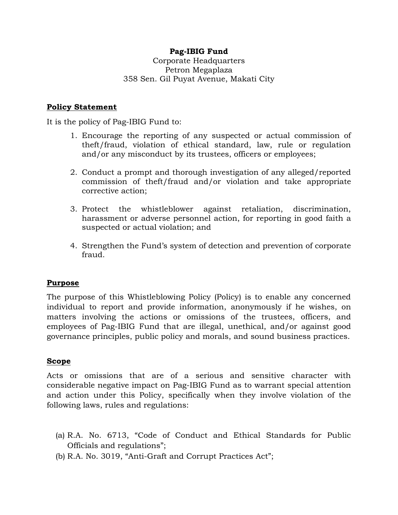# **Pag-IBIG Fund**

Corporate Headquarters Petron Megaplaza 358 Sen. Gil Puyat Avenue, Makati City

## **Policy Statement**

It is the policy of Pag-IBIG Fund to:

- 1. Encourage the reporting of any suspected or actual commission of theft/fraud, violation of ethical standard, law, rule or regulation and/or any misconduct by its trustees, officers or employees;
- 2. Conduct a prompt and thorough investigation of any alleged/reported commission of theft/fraud and/or violation and take appropriate corrective action;
- 3. Protect the whistleblower against retaliation, discrimination, harassment or adverse personnel action, for reporting in good faith a suspected or actual violation; and
- 4. Strengthen the Fund's system of detection and prevention of corporate fraud.

#### **Purpose**

The purpose of this Whistleblowing Policy (Policy) is to enable any concerned individual to report and provide information, anonymously if he wishes, on matters involving the actions or omissions of the trustees, officers, and employees of Pag-IBIG Fund that are illegal, unethical, and/or against good governance principles, public policy and morals, and sound business practices.

#### **Scope**

Acts or omissions that are of a serious and sensitive character with considerable negative impact on Pag-IBIG Fund as to warrant special attention and action under this Policy, specifically when they involve violation of the following laws, rules and regulations:

- (a) R.A. No. 6713, "Code of Conduct and Ethical Standards for Public Officials and regulations";
- (b) R.A. No. 3019, "Anti-Graft and Corrupt Practices Act";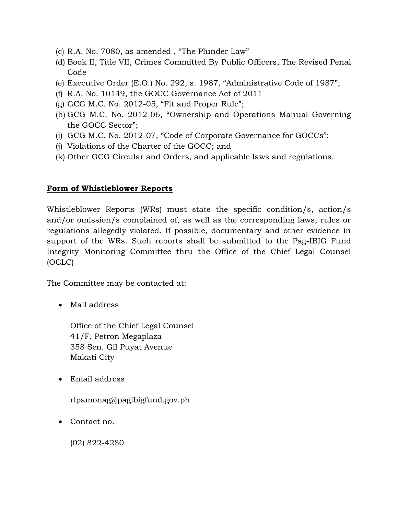- (c) R.A. No. 7080, as amended , "The Plunder Law"
- (d) Book II, Title VII, Crimes Committed By Public Officers, The Revised Penal Code
- (e) Executive Order (E.O.) No. 292, s. 1987, "Administrative Code of 1987";
- (f) R.A. No. 10149, the GOCC Governance Act of 2011
- $(g)$  GCG M.C. No. 2012-05, "Fit and Proper Rule";
- (h) GCG M.C. No. 2012-06, "Ownership and Operations Manual Governing the GOCC Sector";
- (i) GCG M.C. No. 2012-07, "Code of Corporate Governance for GOCCs";
- (j) Violations of the Charter of the GOCC; and
- (k) Other GCG Circular and Orders, and applicable laws and regulations.

## **Form of Whistleblower Reports**

Whistleblower Reports (WRs) must state the specific condition/s, action/s and/or omission/s complained of, as well as the corresponding laws, rules or regulations allegedly violated. If possible, documentary and other evidence in support of the WRs. Such reports shall be submitted to the Pag-IBIG Fund Integrity Monitoring Committee thru the Office of the Chief Legal Counsel (OCLC)

The Committee may be contacted at:

• Mail address

Office of the Chief Legal Counsel 41/F, Petron Megaplaza 358 Sen. Gil Puyat Avenue Makati City

Email address

rlpamonag@pagibigfund.gov.ph

• Contact no.

(02) 822-4280